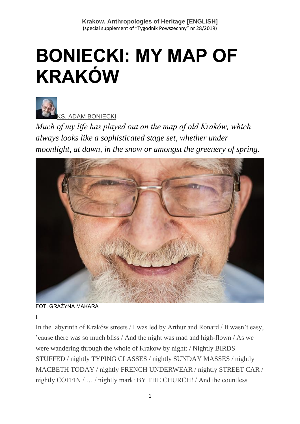# **BONIECKI: MY MAP OF KRAKÓW**



[KS. ADAM BONIECKI](https://www.tygodnikpowszechny.pl/autor/ks-adam-boniecki-52)

*Much of my life has played out on the map of old Kraków, which always looks like a sophisticated stage set, whether under moonlight, at dawn, in the snow or amongst the greenery of spring.*



FOT. GRAŻYNA MAKARA

I

In the labyrinth of Kraków streets / I was led by Arthur and Ronard / It wasn't easy, 'cause there was so much bliss / And the night was mad and high-flown / As we were wandering through the whole of Krakow by night: / Nightly BIRDS STUFFED / nightly TYPING CLASSES / nightly SUNDAY MASSES / nightly MACBETH TODAY / nightly FRENCH UNDERWEAR / nightly STREET CAR / nightly COFFIN / … / nightly mark: BY THE CHURCH! / And the countless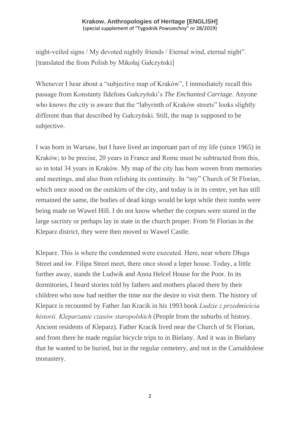night-veiled signs / My devoted nightly friends / Eternal wind, eternal night". [translated the from Polish by Mikołaj Gałczyński]

Whenever I hear about a "subjective map of Kraków", I immediately recall this passage from Konstanty Ildefons Gałczyński's *The Enchanted Carriage*. Anyone who knows the city is aware that the "labyrinth of Kraków streets" looks slightly different than that described by Gałczyński. Still, the map is supposed to be subjective.

I was born in Warsaw, but I have lived an important part of my life (since 1965) in Kraków; to be precise, 20 years in France and Rome must be subtracted from this, so in total 34 years in Kraków. My map of the city has been woven from memories and meetings, and also from relishing its continuity. In "my" Church of St Florian, which once stood on the outskirts of the city, and today is in its centre, yet has still remained the same, the bodies of dead kings would be kept while their tombs were being made on Wawel Hill. I do not know whether the corpses were stored in the large sacristy or perhaps lay in state in the church proper. From St Florian in the Kleparz district, they were then moved to Wawel Castle.

Kleparz. This is where the condemned were executed. Here, near where Długa Street and św. Filipa Street meet, there once stood a leper house. Today, a little further away, stands the Ludwik and Anna Helcel House for the Poor. In its dormitories, I heard stories told by fathers and mothers placed there by their children who now had neither the time nor the desire to visit them. The history of Kleparz is recounted by Father Jan Kracik in his 1993 book *Ludzie z przedmieścia historii. Kleparzanie czasów staropolskich* (People from the suburbs of history. Ancient residents of Kleparz). Father Kracik lived near the Church of St Florian, and from there he made regular bicycle trips to in Bielany. And it was in Bielany that he wanted to be buried, but in the regular cemetery, and not in the Camaldolese monastery.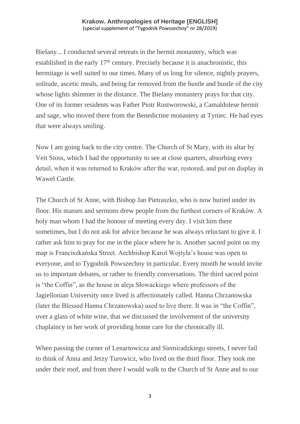Bielany... I conducted several retreats in the hermit monastery, which was established in the early 17<sup>th</sup> century. Precisely because it is anachronistic, this hermitage is well suited to our times. Many of us long for silence, nightly prayers, solitude, ascetic meals, and being far removed from the hustle and bustle of the city whose lights shimmer in the distance. The Bielany monastery prays for that city. One of its former residents was Father Piotr Rostworowski, a Camaldolese hermit and sage, who moved there from the Benedictine monastery at Tyniec. He had eyes that were always smiling.

Now I am going back to the city centre. The Church of St Mary, with its altar by Veit Stoss, which I had the opportunity to see at close quarters, absorbing every detail, when it was returned to Kraków after the war, restored, and put on display in Wawel Castle.

The Church of St Anne, with Bishop Jan Pietraszko, who is now buried under its floor. His masses and sermons drew people from the furthest corners of Kraków. A holy man whom I had the honour of meeting every day. I visit him there sometimes, but I do not ask for advice because he was always reluctant to give it. I rather ask him to pray for me in the place where he is. Another sacred point on my map is Franciszkańska Street. Archbishop Karol Wojtyła's house was open to everyone, and to Tygodnik Powszechny in particular. Every month he would invite us to important debates, or rather to friendly conversations. The third sacred point is "the Coffin", as the house in aleja Słowackiego where professors of the Jagiellonian University once lived is affectionately called. Hanna Chrzanowska (later the Blessed Hanna Chrzanowska) used to live there. It was in "the Coffin", over a glass of white wine, that we discussed the involvement of the university chaplaincy in her work of providing home care for the chronically ill.

When passing the corner of Lenartowicza and Siemiradzkiego streets, I never fail to think of Anna and Jerzy Turowicz, who lived on the third floor. They took me under their roof, and from there I would walk to the Church of St Anne and to our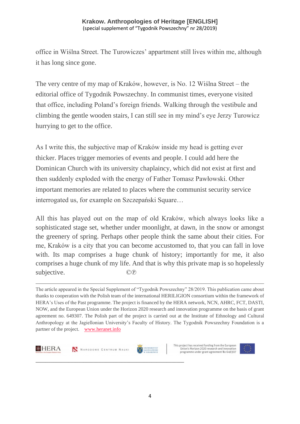office in Wiślna Street. The Turowiczes' appartment still lives within me, although it has long since gone.

The very centre of my map of Kraków, however, is No. 12 Wiślna Street – the editorial office of Tygodnik Powszechny. In communist times, everyone visited that office, including Poland's foreign friends. Walking through the vestibule and climbing the gentle wooden stairs, I can still see in my mind's eye Jerzy Turowicz hurrying to get to the office.

As I write this, the subjective map of Kraków inside my head is getting ever thicker. Places trigger memories of events and people. I could add here the Dominican Church with its university chaplaincy, which did not exist at first and then suddenly exploded with the energy of Father Tomasz Pawłowski. Other important memories are related to places where the communist security service interrogated us, for example on Szczepański Square…

All this has played out on the map of old Kraków, which always looks like a sophisticated stage set, whether under moonlight, at dawn, in the snow or amongst the greenery of spring. Perhaps other people think the same about their cities. For me, Kraków is a city that you can become accustomed to, that you can fall in love with. Its map comprises a huge chunk of history; importantly for me, it also comprises a huge chunk of my life. And that is why this private map is so hopelessly subjective.  $\heartsuit$ 

The article appeared in the Special Supplement of "Tygodnik Powszechny" 28/2019. This publication came about thanks to cooperation with the Polish team of the international HERILIGION consortium within the framework of HERA's Uses of the Past programme. The project is financed by the HERA network, NCN, AHRC, FCT, DASTI, NOW, and the European Union under the Horizon 2020 research and innovation programme on the basis of grant agreement no. 649307. The Polish part of the project is carried out at the Institute of Ethnology and Cultural Anthropology at the Jagiellonian University's Faculty of History. The Tygodnik Powszechny Foundation is a partner of the project. [www.heranet.info](http://www.heranet.info/)





**\_\_\_\_\_\_\_\_\_\_\_\_\_\_\_\_\_\_\_\_\_\_\_\_\_\_\_\_\_\_\_\_\_\_\_\_\_\_\_\_\_\_\_\_\_\_\_\_\_\_\_\_\_\_\_\_\_\_\_**



This project has received funding from the European Union's Horizon 2020 research and innovation<br>programme under grant agreement No 649307

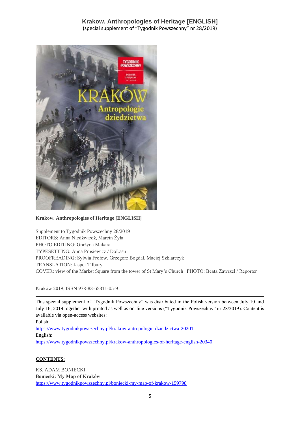

**Krakow. Anthropologies of Heritage [ENGLISH]**

Supplement to Tygodnik Powszechny 28/2019 EDITORS: Anna Niedźwiedź, Marcin Żyła PHOTO EDITING: Grażyna Makara TYPESETTING: Anna Prusiewicz / DoLasu PROOFREADING: Sylwia Frołow, Grzegorz Bogdał, Maciej Szklarczyk TRANSLATION: Jasper Tilbury COVER: view of the Market Square from the tower of St Mary's Church | PHOTO: Beata Zawrzel / Reporter

Kraków 2019, ISBN 978-83-65811-05-9

This special supplement of "Tygodnik Powszechny" was distributed in the Polish version between July 10 and July 16, 2019 together with printed as well as on-line versions ("Tygodnik Powszechny" nr 28/2019). Content is available via open-access websites:

Polish:

<https://www.tygodnikpowszechny.pl/krakow-antropologie-dziedzictwa-20201> English: <https://www.tygodnikpowszechny.pl/krakow-anthropologies-of-heritage-english-20340>

#### **CONTENTS:**

[KS. ADAM BONIECKI](https://www.tygodnikpowszechny.pl/autor/ks-adam-boniecki-52) **[Boniecki: My Map of Kraków](https://www.tygodnikpowszechny.pl/boniecki-my-map-of-krakow-159798)** <https://www.tygodnikpowszechny.pl/boniecki-my-map-of-krakow-159798>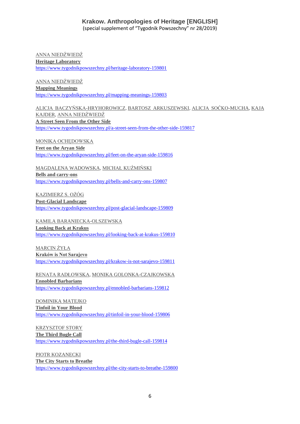[ANNA NIEDŹWIEDŹ](https://www.tygodnikpowszechny.pl/autor/anna-niedzwiedz-1163) **[Heritage Laboratory](https://www.tygodnikpowszechny.pl/heritage-laboratory-159801)** <https://www.tygodnikpowszechny.pl/heritage-laboratory-159801>

[ANNA NIEDŹWIEDŹ](https://www.tygodnikpowszechny.pl/autor/anna-niedzwiedz-1163) **[Mapping Meanings](https://www.tygodnikpowszechny.pl/mapping-meanings-159803)** <https://www.tygodnikpowszechny.pl/mapping-meanings-159803>

[ALICJA BACZYŃSKA-HRYHOROWICZ,](https://www.tygodnikpowszechny.pl/autor/alicja-baczynska-hryhorowicz-20191) [BARTOSZ ARKUSZEWSKI,](https://www.tygodnikpowszechny.pl/autor/bartosz-arkuszewski-20192) [ALICJA SOĆKO-MUCHA,](https://www.tygodnikpowszechny.pl/autor/alicja-socko-mucha-20193) [KAJA](https://www.tygodnikpowszechny.pl/autor/kaja-kajder-20194)  [KAJDER,](https://www.tygodnikpowszechny.pl/autor/kaja-kajder-20194) [ANNA NIEDŹWIEDŹ](https://www.tygodnikpowszechny.pl/autor/anna-niedzwiedz-1163) **[A Street Seen From the Other Side](https://www.tygodnikpowszechny.pl/a-street-seen-from-the-other-side-159817)** <https://www.tygodnikpowszechny.pl/a-street-seen-from-the-other-side-159817>

[MONIKA OCHĘDOWSKA](https://www.tygodnikpowszechny.pl/autor/monika-ochedowska-16005) **[Feet on the Aryan Side](https://www.tygodnikpowszechny.pl/feet-on-the-aryan-side-159816)** <https://www.tygodnikpowszechny.pl/feet-on-the-aryan-side-159816>

[MAGDALENA WADOWSKA,](https://www.tygodnikpowszechny.pl/autor/magdalena-wadowska-20195) [MICHAŁ KUŹMIŃSKI](https://www.tygodnikpowszechny.pl/autor/michal-kuzminski-109) **[Bells and carry-ons](https://www.tygodnikpowszechny.pl/bells-and-carry-ons-159807)** <https://www.tygodnikpowszechny.pl/bells-and-carry-ons-159807>

[KAZIMIERZ S. OŻÓG](https://www.tygodnikpowszechny.pl/autor/kazimierz-s-ozog-20196) **[Post-Glacial Landscape](https://www.tygodnikpowszechny.pl/post-glacial-landscape-159809)** <https://www.tygodnikpowszechny.pl/post-glacial-landscape-159809>

[KAMILA BARANIECKA-OLSZEWSKA](https://www.tygodnikpowszechny.pl/autor/kamila-baraniecka-olszewska-20197) **[Looking Back at Krakus](https://www.tygodnikpowszechny.pl/looking-back-at-krakus-159810)** <https://www.tygodnikpowszechny.pl/looking-back-at-krakus-159810>

[MARCIN ŻYŁA](https://www.tygodnikpowszechny.pl/autor/marcin-zyla-59) **[Kraków is Not Sarajevo](https://www.tygodnikpowszechny.pl/krakow-is-not-sarajevo-159811)** <https://www.tygodnikpowszechny.pl/krakow-is-not-sarajevo-159811>

[RENATA RADŁOWSKA,](https://www.tygodnikpowszechny.pl/autor/renata-radlowska-20199) [MONIKA GOLONKA-CZAJKOWSKA](https://www.tygodnikpowszechny.pl/autor/monika-golonka-czajkowska-20198) **[Ennobled Barbarians](https://www.tygodnikpowszechny.pl/ennobled-barbarians-159812)** <https://www.tygodnikpowszechny.pl/ennobled-barbarians-159812>

[DOMINIKA MATEJKO](https://www.tygodnikpowszechny.pl/autor/dominika-matejko-14096) **[Tinfoil in Your Blood](https://www.tygodnikpowszechny.pl/tinfoil-in-your-blood-159806)** <https://www.tygodnikpowszechny.pl/tinfoil-in-your-blood-159806>

[KRZYSZTOF STORY](https://www.tygodnikpowszechny.pl/autor/krzysztof-story-16205) **[The Third Bugle Call](https://www.tygodnikpowszechny.pl/the-third-bugle-call-159814)** <https://www.tygodnikpowszechny.pl/the-third-bugle-call-159814>

[PIOTR KOZANECKI](https://www.tygodnikpowszechny.pl/autor/piotr-kozanecki-14469) **[The City Starts to Breathe](https://www.tygodnikpowszechny.pl/the-city-starts-to-breathe-159800)** <https://www.tygodnikpowszechny.pl/the-city-starts-to-breathe-159800>